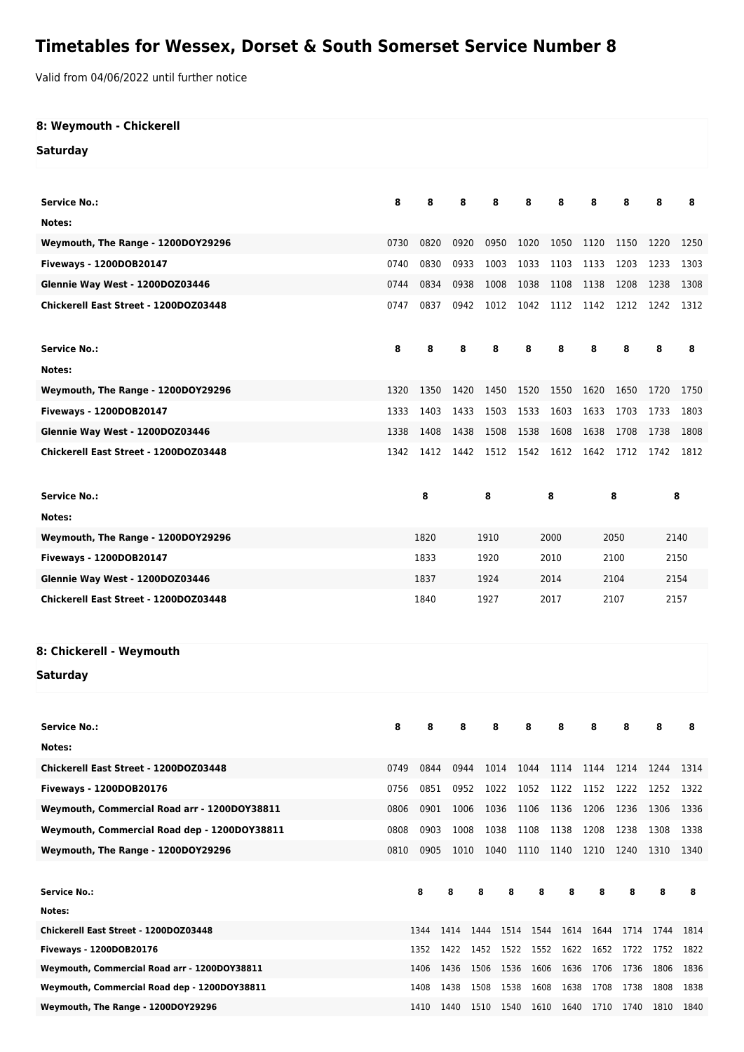## **Timetables for Wessex, Dorset & South Somerset Service Number 8**

Valid from 04/06/2022 until further notice

| 8: Weymouth - Chickerell                     |      |              |      |                          |              |      |      |      |      |      |
|----------------------------------------------|------|--------------|------|--------------------------|--------------|------|------|------|------|------|
| <b>Saturday</b>                              |      |              |      |                          |              |      |      |      |      |      |
|                                              |      |              |      |                          |              |      |      |      |      |      |
| <b>Service No.:</b>                          | 8    | 8            | 8    | 8                        | 8            | 8    | 8    | 8    | 8    | 8    |
| Notes:                                       |      |              |      |                          |              |      |      |      |      |      |
| Weymouth, The Range - 1200DOY29296           | 0730 | 0820         | 0920 | 0950                     | 1020         | 1050 | 1120 | 1150 | 1220 | 1250 |
| Fiveways - 1200DOB20147                      | 0740 | 0830         | 0933 | 1003                     | 1033         | 1103 | 1133 | 1203 | 1233 | 1303 |
| Glennie Way West - 1200DOZ03446              | 0744 | 0834         | 0938 | 1008                     | 1038         | 1108 | 1138 | 1208 | 1238 | 1308 |
| Chickerell East Street - 1200DOZ03448        | 0747 | 0837         | 0942 | 1012                     | 1042         | 1112 | 1142 | 1212 | 1242 | 1312 |
|                                              |      |              |      |                          |              |      |      |      |      |      |
| <b>Service No.:</b>                          | 8    | 8            | 8    | 8                        | 8            | 8    | 8    | 8    | 8    | 8    |
| Notes:                                       |      |              |      |                          |              |      |      |      |      |      |
| Weymouth, The Range - 1200DOY29296           | 1320 | 1350         | 1420 | 1450                     | 1520         | 1550 | 1620 | 1650 | 1720 | 1750 |
| Fiveways - 1200DOB20147                      | 1333 | 1403         | 1433 | 1503                     | 1533         | 1603 | 1633 | 1703 | 1733 | 1803 |
| Glennie Way West - 1200DOZ03446              | 1338 | 1408         | 1438 | 1508                     | 1538         | 1608 | 1638 | 1708 | 1738 | 1808 |
| Chickerell East Street - 1200DOZ03448        | 1342 | 1412         |      | 1442 1512 1542 1612 1642 |              |      |      | 1712 | 1742 | 1812 |
|                                              |      |              |      |                          |              |      |      |      |      |      |
| <b>Service No.:</b>                          |      | 8            |      | 8                        |              | 8    |      | 8    |      | 8    |
| Notes:                                       |      |              |      |                          |              |      |      |      |      |      |
| Weymouth, The Range - 1200DOY29296           |      | 1820         |      | 1910                     |              | 2000 |      | 2050 |      | 2140 |
| Fiveways - 1200DOB20147                      |      | 1833         |      | 1920                     |              | 2010 |      | 2100 |      | 2150 |
| Glennie Way West - 1200DOZ03446              |      | 1837         |      | 1924                     |              | 2014 |      | 2104 |      | 2154 |
| Chickerell East Street - 1200DOZ03448        |      | 1840<br>1927 |      | 2017                     |              | 2107 |      | 2157 |      |      |
|                                              |      |              |      |                          |              |      |      |      |      |      |
|                                              |      |              |      |                          |              |      |      |      |      |      |
| 8: Chickerell - Weymouth                     |      |              |      |                          |              |      |      |      |      |      |
| Saturday                                     |      |              |      |                          |              |      |      |      |      |      |
|                                              |      |              |      |                          |              |      |      |      |      |      |
| <b>Service No.:</b>                          | 8    | 8            | 8    | 8                        | 8            | 8    | 8    | 8    | 8    | 8    |
| Notes:                                       |      |              |      |                          |              |      |      |      |      |      |
| Chickerell East Street - 1200DOZ03448        | 0749 | 0844         | 0944 | 1014                     | 1044         | 1114 | 1144 | 1214 | 1244 | 1314 |
| Fiveways - 1200DOB20176                      | 0756 | 0851         | 0952 | 1022                     | 1052         | 1122 | 1152 | 1222 | 1252 | 1322 |
| Weymouth, Commercial Road arr - 1200DOY38811 | 0806 | 0901         | 1006 | 1036                     | 1106         | 1136 | 1206 | 1236 | 1306 | 1336 |
| Weymouth, Commercial Road dep - 1200DOY38811 | 0808 | 0903         | 1008 | 1038                     | 1108         | 1138 | 1208 | 1238 | 1308 | 1338 |
| Weymouth, The Range - 1200DOY29296           | 0810 | 0905         | 1010 | 1040                     | 1110         | 1140 | 1210 | 1240 | 1310 | 1340 |
|                                              |      |              |      |                          |              |      |      |      |      |      |
| <b>Service No.:</b>                          |      | 8            | 8    | 8                        | 8<br>8       | 8    | 8    | 8    | 8    | 8    |
| Notes:                                       |      |              |      |                          |              |      |      |      |      |      |
| Chickerell East Street - 1200DOZ03448        |      | 1344         | 1414 | 1444                     | 1514<br>1544 | 1614 | 1644 | 1714 | 1744 | 1814 |
| Fiveways - 1200DOB20176                      |      | 1352         | 1422 | 1452                     | 1522<br>1552 | 1622 | 1652 | 1722 | 1752 | 1822 |
| Weymouth, Commercial Road arr - 1200DOY38811 |      | 1406         | 1436 | 1506                     | 1606<br>1536 | 1636 | 1706 | 1736 | 1806 | 1836 |
| Weymouth, Commercial Road dep - 1200DOY38811 |      | 1408         | 1438 | 1508 1538                | 1608         | 1638 | 1708 | 1738 | 1808 | 1838 |

**Weymouth, The Range - 1200DOY29296** 1410 1440 1510 1540 1610 1640 1710 1740 1810 1840